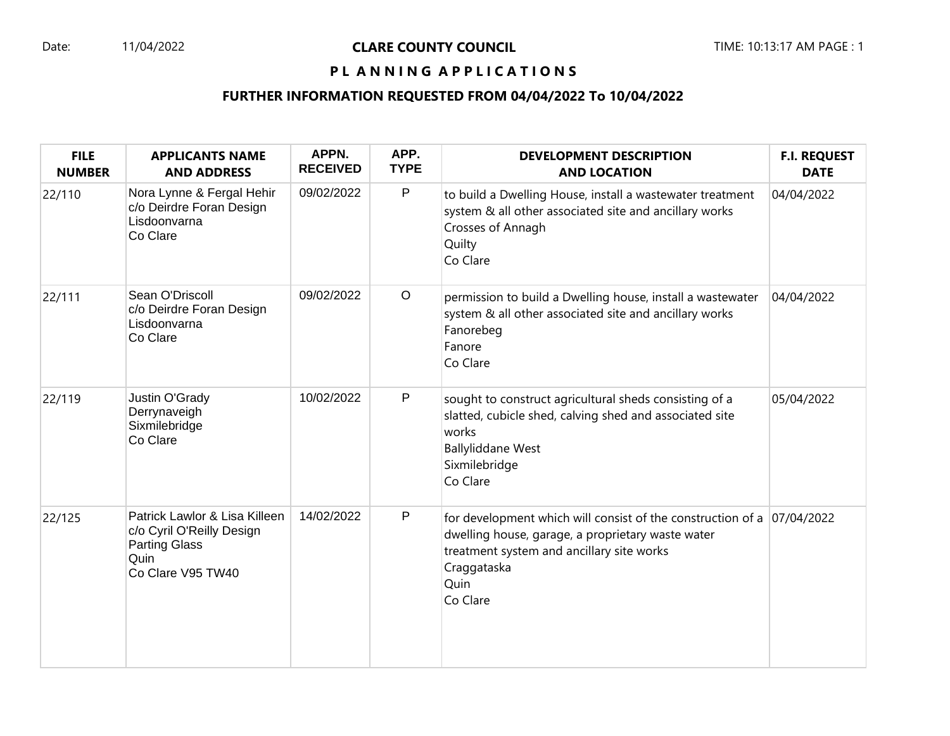## Date: 11/04/2022 **CLARE COUNTY COUNCIL** TIME: 10:13:17 AM PAGE : 1

# PL ANNING APPLICATIONS

## **FURTHER INFORMATION REQUESTED FROM 04/04/2022 To 10/04/2022**

| <b>FILE</b><br><b>NUMBER</b> | <b>APPLICANTS NAME</b><br><b>AND ADDRESS</b>                                                                    | APPN.<br><b>RECEIVED</b> | APP.<br><b>TYPE</b> | <b>DEVELOPMENT DESCRIPTION</b><br><b>AND LOCATION</b>                                                                                                                                                           | <b>F.I. REQUEST</b><br><b>DATE</b> |
|------------------------------|-----------------------------------------------------------------------------------------------------------------|--------------------------|---------------------|-----------------------------------------------------------------------------------------------------------------------------------------------------------------------------------------------------------------|------------------------------------|
| 22/110                       | Nora Lynne & Fergal Hehir<br>c/o Deirdre Foran Design<br>Lisdoonvarna<br>Co Clare                               | 09/02/2022               | $\mathsf{P}$        | to build a Dwelling House, install a wastewater treatment<br>system & all other associated site and ancillary works<br>Crosses of Annagh<br>Quilty<br>Co Clare                                                  | 04/04/2022                         |
| 22/111                       | Sean O'Driscoll<br>c/o Deirdre Foran Design<br>Lisdoonvarna<br>Co Clare                                         | 09/02/2022               | $\circ$             | permission to build a Dwelling house, install a wastewater<br>system & all other associated site and ancillary works<br>Fanorebeg<br>Fanore<br>Co Clare                                                         | 04/04/2022                         |
| 22/119                       | Justin O'Grady<br>Derrynaveigh<br>Sixmilebridge<br>Co Clare                                                     | 10/02/2022               | P                   | sought to construct agricultural sheds consisting of a<br>slatted, cubicle shed, calving shed and associated site<br>works<br><b>Ballyliddane West</b><br>Sixmilebridge<br>Co Clare                             | 05/04/2022                         |
| 22/125                       | Patrick Lawlor & Lisa Killeen<br>c/o Cyril O'Reilly Design<br><b>Parting Glass</b><br>Quin<br>Co Clare V95 TW40 | 14/02/2022               | P                   | for development which will consist of the construction of a $ 07/04/2022 $<br>dwelling house, garage, a proprietary waste water<br>treatment system and ancillary site works<br>Craggataska<br>Quin<br>Co Clare |                                    |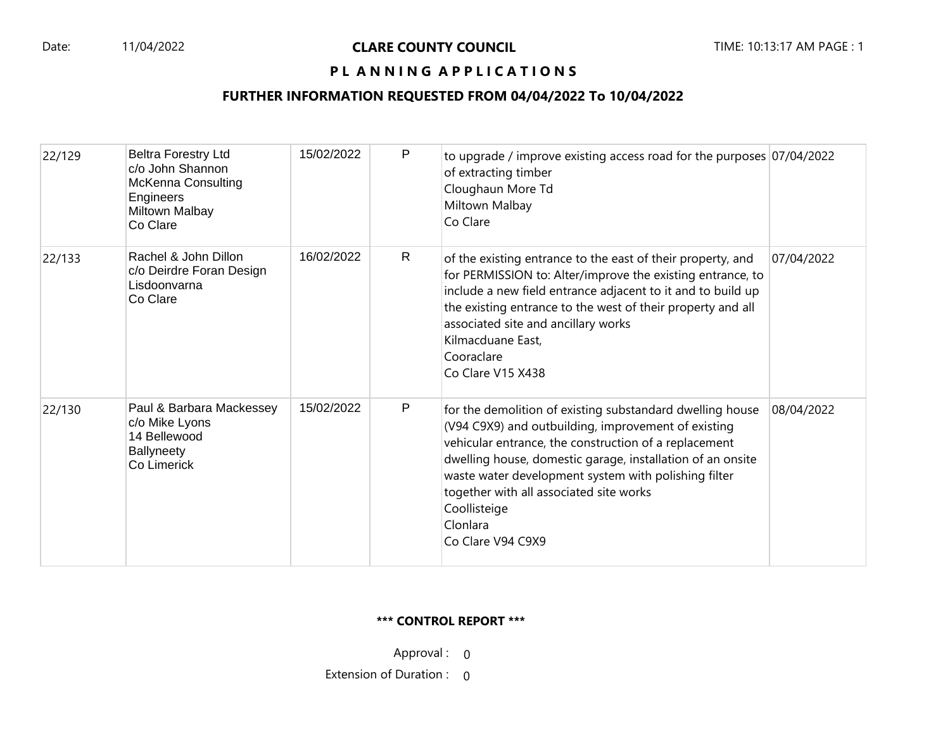## PL ANNING APPLICATIONS

# **FURTHER INFORMATION REQUESTED FROM 04/04/2022 To 10/04/2022**

| 22/129 | <b>Beltra Forestry Ltd</b><br>c/o John Shannon<br><b>McKenna Consulting</b><br>Engineers<br>Miltown Malbay<br>Co Clare | 15/02/2022 | P            | to upgrade / improve existing access road for the purposes 07/04/2022<br>of extracting timber<br>Cloughaun More Td<br>Miltown Malbay<br>Co Clare                                                                                                                                                                                                                                            |            |
|--------|------------------------------------------------------------------------------------------------------------------------|------------|--------------|---------------------------------------------------------------------------------------------------------------------------------------------------------------------------------------------------------------------------------------------------------------------------------------------------------------------------------------------------------------------------------------------|------------|
| 22/133 | Rachel & John Dillon<br>c/o Deirdre Foran Design<br>Lisdoonvarna<br>Co Clare                                           | 16/02/2022 | $\mathsf{R}$ | of the existing entrance to the east of their property, and<br>for PERMISSION to: Alter/improve the existing entrance, to<br>include a new field entrance adjacent to it and to build up<br>the existing entrance to the west of their property and all<br>associated site and ancillary works<br>Kilmacduane East,<br>Cooraclare<br>Co Clare V15 X438                                      | 07/04/2022 |
| 22/130 | Paul & Barbara Mackessey<br>c/o Mike Lyons<br>14 Bellewood<br><b>Ballyneety</b><br>Co Limerick                         | 15/02/2022 | P            | for the demolition of existing substandard dwelling house<br>(V94 C9X9) and outbuilding, improvement of existing<br>vehicular entrance, the construction of a replacement<br>dwelling house, domestic garage, installation of an onsite<br>waste water development system with polishing filter<br>together with all associated site works<br>Coollisteige<br>Clonlara<br>Co Clare V94 C9X9 | 08/04/2022 |

#### **\*\*\* CONTROL REPORT \*\*\***

Approval : 0

Extension of Duration : 0